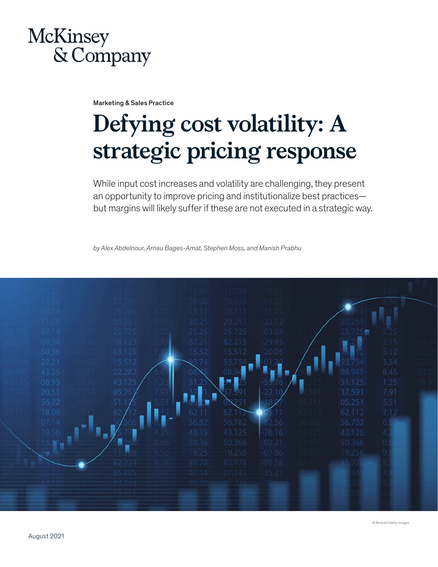

Marketing & Sales Practice

# **Defying cost volatility: A strategic pricing response**

While input cost increases and volatility are challenging, they present an opportunity to improve pricing and institutionalize best practices but margins will likely suffer if these are not executed in a strategic way.

*by Alex Abdelnour, Arnau Bages-Amat, Stephen Moss, and Manish Prabhu* 

|       |        |       | 78.056 | -01.2    |        |      |  |
|-------|--------|-------|--------|----------|--------|------|--|
|       |        | 18.11 | 18.111 | $-31.71$ |        |      |  |
|       |        | 20.25 | 20.251 | $-22.12$ |        |      |  |
| 07.14 | 25.725 | 25.25 | 25.725 | $-03.68$ |        |      |  |
| 08.94 | 18.123 | 82.21 | 82.215 | $-29.45$ |        | 2.15 |  |
| 50.36 | 43.125 | 15.52 | 15.512 | $-20.05$ |        | 5.12 |  |
| 22.21 | 15.512 |       | 93     |          |        | 3.54 |  |
| 43.25 | 22.282 |       |        |          | 08.945 | 8.45 |  |
| 08.95 | 43.125 |       |        |          | 51.125 | 1.25 |  |
| 20.51 | 05.25  |       |        | 22.      | 37.591 | 7.91 |  |
| 56.72 | 51.    |       |        |          | 05.251 | 5.51 |  |
| 18.09 | 62     | 62.11 | 62.1   |          | 62.112 | 2.12 |  |
| 07.14 |        | 56.82 | 56,782 | $-82.56$ | 56.782 | 6.8  |  |
| 19.56 |        | 43.15 | 43.125 | $-76.16$ | 43.125 | 4.2  |  |
|       |        | 50.36 | 50.366 | $-02.21$ | 50.366 | 0.6  |  |
|       |        | 19.25 | 19.256 | $-07.86$ | 19.256 | 9.5  |  |
|       |        |       | 85.778 | $-99.58$ |        |      |  |
|       |        |       |        | 35.21    |        |      |  |
|       |        |       |        |          |        |      |  |
|       |        |       |        |          |        |      |  |
|       |        |       |        |          |        |      |  |
|       |        |       |        |          |        |      |  |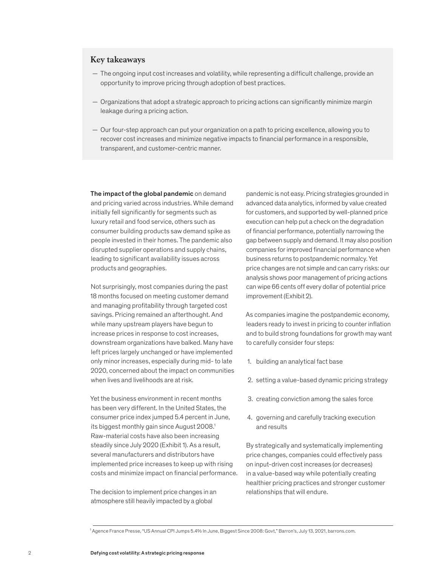### **Key takeaways**

- The ongoing input cost increases and volatility, while representing a difficult challenge, provide an opportunity to improve pricing through adoption of best practices.
- Organizations that adopt a strategic approach to pricing actions can significantly minimize margin leakage during a pricing action.
- Our four-step approach can put your organization on a path to pricing excellence, allowing you to recover cost increases and minimize negative impacts to financial performance in a responsible, transparent, and customer-centric manner.

The impact of the global pandemic on demand and pricing varied across industries. While demand initially fell significantly for segments such as luxury retail and food service, others such as consumer building products saw demand spike as people invested in their homes. The pandemic also disrupted supplier operations and supply chains, leading to significant availability issues across products and geographies.

Not surprisingly, most companies during the past 18 months focused on meeting customer demand and managing profitability through targeted cost savings. Pricing remained an afterthought. And while many upstream players have begun to increase prices in response to cost increases, downstream organizations have balked. Many have left prices largely unchanged or have implemented only minor increases, especially during mid- to late 2020, concerned about the impact on communities when lives and livelihoods are at risk.

Yet the business environment in recent months has been very different. In the United States, the consumer price index jumped 5.4 percent in June, its biggest monthly gain since August 2008.<sup>1</sup> Raw-material costs have also been increasing steadily since July 2020 (Exhibit 1). As a result, several manufacturers and distributors have implemented price increases to keep up with rising costs and minimize impact on financial performance.

The decision to implement price changes in an atmosphere still heavily impacted by a global

pandemic is not easy. Pricing strategies grounded in advanced data analytics, informed by value created for customers, and supported by well-planned price execution can help put a check on the degradation of financial performance, potentially narrowing the gap between supply and demand. It may also position companies for improved financial performance when business returns to postpandemic normalcy. Yet price changes are not simple and can carry risks: our analysis shows poor management of pricing actions can wipe 66 cents off every dollar of potential price improvement (Exhibit 2).

As companies imagine the postpandemic economy, leaders ready to invest in pricing to counter inflation and to build strong foundations for growth may want to carefully consider four steps:

- 1. building an analytical fact base
- 2. setting a value-based dynamic pricing strategy
- 3. creating conviction among the sales force
- 4. governing and carefully tracking execution and results

By strategically and systematically implementing price changes, companies could effectively pass on input-driven cost increases (or decreases) in a value-based way while potentially creating healthier pricing practices and stronger customer relationships that will endure.

<sup>1</sup> Agence France Presse, "US Annual CPI Jumps 5.4% In June, Biggest Since 2008: Govt," Barron's, July 13, 2021, barrons.com.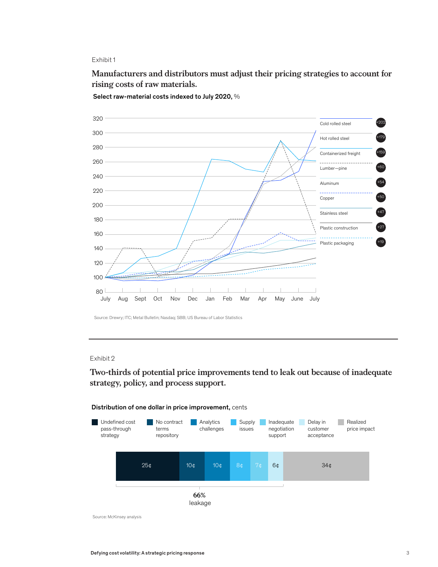Exhibit 1

Manufacturers and distributors must adjust their pricing strategies to account Manufacturers and distributors must adjust their pricing strategies to account for **rising costs of raw materials.**



Select raw-material costs indexed to July 2020, %

Source: Drewry; ITC; Metal Bulletin; Nasdaq; SBB; US Bureau of Labor Statistics

### Exhibit 2

**Two-thirds of potential price improvements tend to leak out because of inadequate**  strategy, policy, and process support.  $ar{arg}{y}$ , polic $y$ , and process support.





Source: McKinsey analysis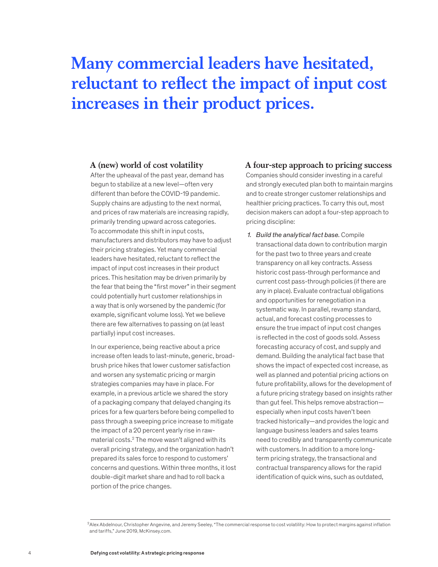## **Many commercial leaders have hesitated, reluctant to reflect the impact of input cost increases in their product prices.**

#### **A (new) world of cost volatility**

After the upheaval of the past year, demand has begun to stabilize at a new level—often very different than before the COVID-19 pandemic. Supply chains are adjusting to the next normal, and prices of raw materials are increasing rapidly, primarily trending upward across categories. To accommodate this shift in input costs, manufacturers and distributors may have to adjust their pricing strategies. Yet many commercial leaders have hesitated, reluctant to reflect the impact of input cost increases in their product prices. This hesitation may be driven primarily by the fear that being the "first mover" in their segment could potentially hurt customer relationships in a way that is only worsened by the pandemic (for example, significant volume loss). Yet we believe there are few alternatives to passing on (at least partially) input cost increases.

In our experience, being reactive about a price increase often leads to last-minute, generic, broadbrush price hikes that lower customer satisfaction and worsen any systematic pricing or margin strategies companies may have in place. For example, in a previous article we shared the story of a packaging company that delayed changing its prices for a few quarters before being compelled to pass through a sweeping price increase to mitigate the impact of a 20 percent yearly rise in rawmaterial costs.<sup>2</sup> The move wasn't aligned with its overall pricing strategy, and the organization hadn't prepared its sales force to respond to customers' concerns and questions. Within three months, it lost double-digit market share and had to roll back a portion of the price changes.

**A four-step approach to pricing success** Companies should consider investing in a careful and strongly executed plan both to maintain margins and to create stronger customer relationships and healthier pricing practices. To carry this out, most decision makers can adopt a four-step approach to pricing discipline:

*1. Build the analytical fact base.* Compile transactional data down to contribution margin for the past two to three years and create transparency on all key contracts. Assess historic cost pass-through performance and current cost pass-through policies (if there are any in place). Evaluate contractual obligations and opportunities for renegotiation in a systematic way. In parallel, revamp standard, actual, and forecast costing processes to ensure the true impact of input cost changes is reflected in the cost of goods sold. Assess forecasting accuracy of cost, and supply and demand. Building the analytical fact base that shows the impact of expected cost increase, as well as planned and potential pricing actions on future profitability, allows for the development of a future pricing strategy based on insights rather than gut feel. This helps remove abstraction especially when input costs haven't been tracked historically—and provides the logic and language business leaders and sales teams need to credibly and transparently communicate with customers. In addition to a more longterm pricing strategy, the transactional and contractual transparency allows for the rapid identification of quick wins, such as outdated,

<sup>2</sup>Alex Abdelnour, Christopher Angevine, and Jeremy Seeley, "The commercial response to cost volatility: How to protect margins against inflation and tariffs," June 2019, McKinsey.com.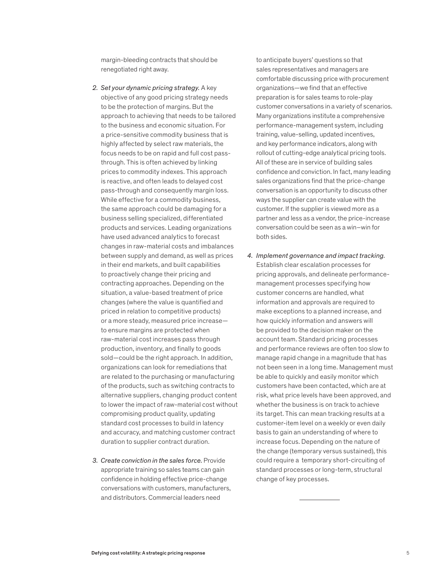margin-bleeding contracts that should be renegotiated right away.

- *2. Set your dynamic pricing strategy.* A key objective of any good pricing strategy needs to be the protection of margins. But the approach to achieving that needs to be tailored to the business and economic situation. For a price-sensitive commodity business that is highly affected by select raw materials, the focus needs to be on rapid and full cost passthrough. This is often achieved by linking prices to commodity indexes. This approach is reactive, and often leads to delayed cost pass-through and consequently margin loss. While effective for a commodity business, the same approach could be damaging for a business selling specialized, differentiated products and services. Leading organizations have used advanced analytics to forecast changes in raw-material costs and imbalances between supply and demand, as well as prices in their end markets, and built capabilities to proactively change their pricing and contracting approaches. Depending on the situation, a value-based treatment of price changes (where the value is quantified and priced in relation to competitive products) or a more steady, measured price increase to ensure margins are protected when raw-material cost increases pass through production, inventory, and finally to goods sold—could be the right approach. In addition, organizations can look for remediations that are related to the purchasing or manufacturing of the products, such as switching contracts to alternative suppliers, changing product content to lower the impact of raw-material cost without compromising product quality, updating standard cost processes to build in latency and accuracy, and matching customer contract duration to supplier contract duration.
- *3. Create conviction in the sales force.* Provide appropriate training so sales teams can gain confidence in holding effective price-change conversations with customers, manufacturers, and distributors. Commercial leaders need

to anticipate buyers' questions so that sales representatives and managers are comfortable discussing price with procurement organizations—we find that an effective preparation is for sales teams to role-play customer conversations in a variety of scenarios. Many organizations institute a comprehensive performance-management system, including training, value-selling, updated incentives, and key performance indicators, along with rollout of cutting-edge analytical pricing tools. All of these are in service of building sales confidence and conviction. In fact, many leading sales organizations find that the price-change conversation is an opportunity to discuss other ways the supplier can create value with the customer. If the supplier is viewed more as a partner and less as a vendor, the price-increase conversation could be seen as a win–win for both sides.

*4. Implement governance and impact tracking.* Establish clear escalation processes for pricing approvals, and delineate performancemanagement processes specifying how customer concerns are handled, what information and approvals are required to make exceptions to a planned increase, and how quickly information and answers will be provided to the decision maker on the account team. Standard pricing processes and performance reviews are often too slow to manage rapid change in a magnitude that has not been seen in a long time. Management must be able to quickly and easily monitor which customers have been contacted, which are at risk, what price levels have been approved, and whether the business is on track to achieve its target. This can mean tracking results at a customer-item level on a weekly or even daily basis to gain an understanding of where to increase focus. Depending on the nature of the change (temporary versus sustained), this could require a temporary short-circuiting of standard processes or long-term, structural change of key processes.